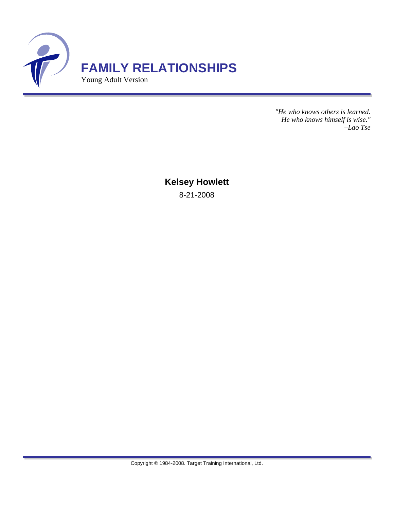

*"He who knows others is learned. He who knows himself is wise." –Lao Tse*

**Kelsey Howlett** 8-21-2008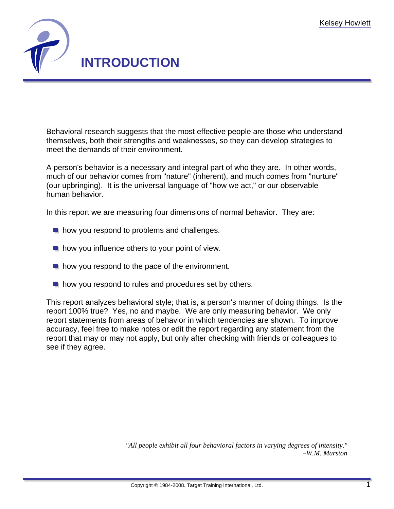

Behavioral research suggests that the most effective people are those who understand themselves, both their strengths and weaknesses, so they can develop strategies to meet the demands of their environment.

A person's behavior is a necessary and integral part of who they are. In other words, much of our behavior comes from "nature" (inherent), and much comes from "nurture" (our upbringing). It is the universal language of "how we act," or our observable human behavior.

In this report we are measuring four dimensions of normal behavior. They are:

- **h** how you respond to problems and challenges.
- $\blacksquare$  how you influence others to your point of view.
- $\blacksquare$  how you respond to the pace of the environment.
- $\blacksquare$  how you respond to rules and procedures set by others.

This report analyzes behavioral style; that is, a person's manner of doing things. Is the report 100% true? Yes, no and maybe. We are only measuring behavior. We only report statements from areas of behavior in which tendencies are shown. To improve accuracy, feel free to make notes or edit the report regarding any statement from the report that may or may not apply, but only after checking with friends or colleagues to see if they agree.

> *"All people exhibit all four behavioral factors in varying degrees of intensity." –W.M. Marston*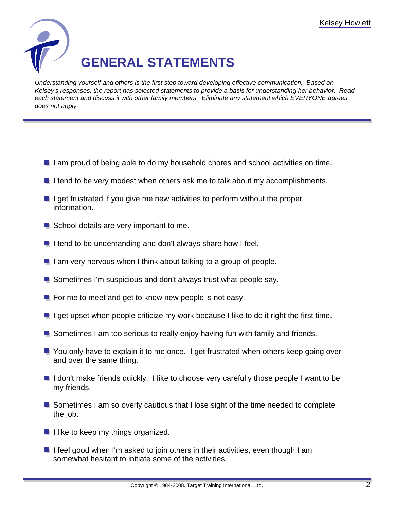

Understanding yourself and others is the first step toward developing effective communication. Based on Kelsey's responses, the report has selected statements to provide a basis for understanding her behavior. Read each statement and discuss it with other family members. Eliminate any statement which EVERYONE agrees does not apply.

- I am proud of being able to do my household chores and school activities on time.
- I tend to be very modest when others ask me to talk about my accomplishments.
- $\blacksquare$  I get frustrated if you give me new activities to perform without the proper information.
- School details are very important to me.
- $\blacksquare$  I tend to be undemanding and don't always share how I feel.
- $\blacksquare$  I am very nervous when I think about talking to a group of people.
- **Sometimes I'm suspicious and don't always trust what people say.**
- $\blacksquare$  For me to meet and get to know new people is not easy.
- $\blacksquare$  I get upset when people criticize my work because I like to do it right the first time.
- **Sometimes I am too serious to really enjoy having fun with family and friends.**
- **T** You only have to explain it to me once. I get frustrated when others keep going over and over the same thing.
- $\blacksquare$  I don't make friends quickly. I like to choose very carefully those people I want to be my friends.
- **Sometimes I am so overly cautious that I lose sight of the time needed to complete** the job.
- $\blacksquare$  I like to keep my things organized.
- $\blacksquare$  I feel good when I'm asked to join others in their activities, even though I am somewhat hesitant to initiate some of the activities.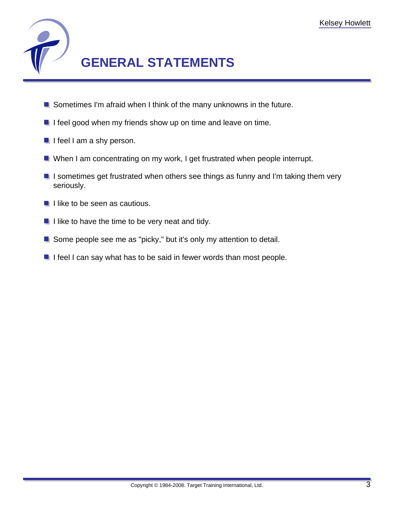

- Sometimes I'm afraid when I think of the many unknowns in the future.
- If feel good when my friends show up on time and leave on time.
- $\blacksquare$  I feel I am a shy person.
- **Notai** When I am concentrating on my work, I get frustrated when people interrupt.
- $\blacksquare$  I sometimes get frustrated when others see things as funny and I'm taking them very seriously.
- I like to be seen as cautious.
- $\blacksquare$  I like to have the time to be very neat and tidy.
- Some people see me as "picky," but it's only my attention to detail.
- $\blacksquare$  I feel I can say what has to be said in fewer words than most people.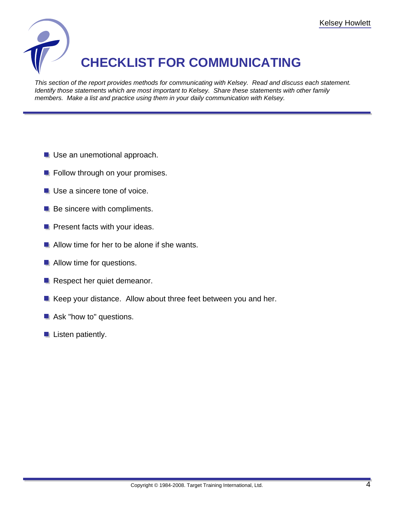

This section of the report provides methods for communicating with Kelsey. Read and discuss each statement. Identify those statements which are most important to Kelsey. Share these statements with other family members. Make a list and practice using them in your daily communication with Kelsey.

- **Use an unemotional approach.**
- **F** Follow through on your promises.
- Use a sincere tone of voice.
- $\blacksquare$  Be sincere with compliments.
- $\blacksquare$  Present facts with your ideas.
- Allow time for her to be alone if she wants.
- **Allow time for questions.**
- Respect her quiet demeanor.
- Keep your distance. Allow about three feet between you and her.
- **Ask "how to" questions.**
- $\blacksquare$  Listen patiently.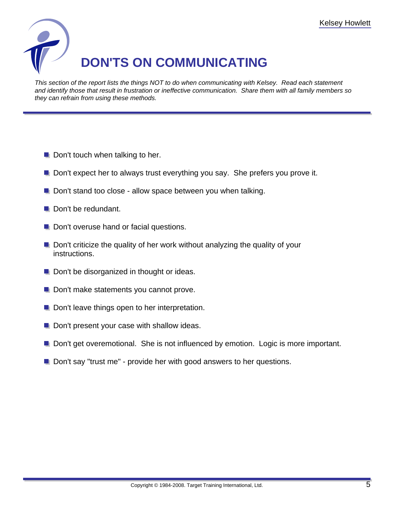

This section of the report lists the things NOT to do when communicating with Kelsey. Read each statement and identify those that result in frustration or ineffective communication. Share them with all family members so they can refrain from using these methods.

- $\blacksquare$  Don't touch when talking to her.
- Don't expect her to always trust everything you say. She prefers you prove it.
- Don't stand too close allow space between you when talking.
- Don't be redundant.
- **Don't overuse hand or facial questions.**
- **D** Don't criticize the quality of her work without analyzing the quality of your instructions.
- $\blacksquare$  Don't be disorganized in thought or ideas.
- **Don't make statements you cannot prove.**
- **Don't leave things open to her interpretation.**
- **Don't present your case with shallow ideas.**
- Don't get overemotional. She is not influenced by emotion. Logic is more important.
- **Den't say "trust me" provide her with good answers to her questions.**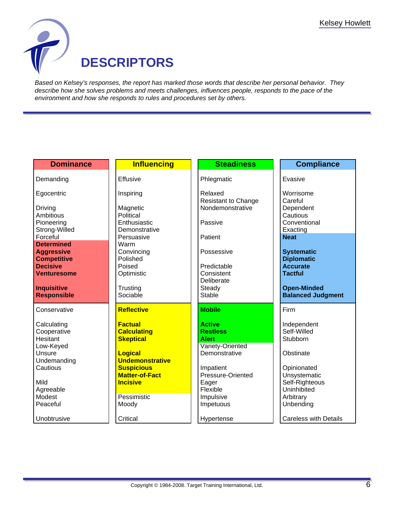

Based on Kelsey's responses, the report has marked those words that describe her personal behavior. They describe how she solves problems and meets challenges, influences people, responds to the pace of the environment and how she responds to rules and procedures set by others.

| <b>Dominance</b>                      | <b>Influencing</b>               | <b>Steadiness</b>                 | <b>Compliance</b>                 |
|---------------------------------------|----------------------------------|-----------------------------------|-----------------------------------|
| Demanding                             | Effusive                         | Phlegmatic                        | Evasive                           |
| Egocentric                            | Inspiring                        | Relaxed                           | Worrisome                         |
|                                       |                                  | <b>Resistant to Change</b>        | Careful                           |
| Driving                               | Magnetic                         | Nondemonstrative                  | Dependent                         |
| Ambitious                             | Political                        |                                   | Cautious                          |
| Pioneering                            | Enthusiastic                     | Passive                           | Conventional                      |
| Strong-Willed<br>Forceful             | Demonstrative<br>Persuasive      | Patient                           | Exacting<br><b>Neat</b>           |
| <b>Determined</b>                     | Warm                             |                                   |                                   |
| <b>Aggressive</b>                     | Convincing                       | Possessive                        | <b>Systematic</b>                 |
| <b>Competitive</b>                    | Polished                         |                                   | <b>Diplomatic</b>                 |
| <b>Decisive</b><br><b>Venturesome</b> | Poised<br>Optimistic             | Predictable<br>Consistent         | <b>Accurate</b><br><b>Tactful</b> |
|                                       |                                  | Deliberate                        |                                   |
| <b>Inquisitive</b>                    | Trusting                         | Steady                            | <b>Open-Minded</b>                |
| <b>Responsible</b>                    | Sociable                         | <b>Stable</b>                     | <b>Balanced Judgment</b>          |
| Conservative                          | <b>Reflective</b>                | <b>Mobile</b>                     | Firm                              |
| Calculating                           | <b>Factual</b>                   | <b>Active</b>                     | Independent                       |
| Cooperative                           | <b>Calculating</b>               | <b>Restless</b>                   | Self-Willed                       |
| Hesitant                              | <b>Skeptical</b><br><b>Alert</b> |                                   | Stubborn                          |
| Low-Keyed<br>Unsure                   | Logical                          | Variety-Oriented<br>Demonstrative | Obstinate                         |
| Undemanding                           | <b>Undemonstrative</b>           |                                   |                                   |
| Cautious                              | <b>Suspicious</b>                | Impatient                         | Opinionated                       |
|                                       | <b>Matter-of-Fact</b>            | Pressure-Oriented                 | Unsystematic                      |
| Mild                                  | <b>Incisive</b>                  | Eager                             | Self-Righteous                    |
| Agreeable<br>Modest                   | Pessimistic                      | Flexible<br>Impulsive             | Uninhibited<br>Arbitrary          |
| Peaceful                              | Moody                            | Impetuous                         | Unbending                         |
|                                       |                                  |                                   |                                   |
| Unobtrusive                           | Critical                         | Hypertense                        | <b>Careless with Details</b>      |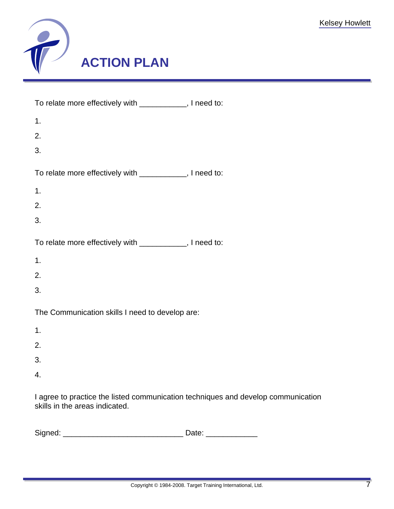

| To relate more effectively with ___________, I need to: |  |  |  |
|---------------------------------------------------------|--|--|--|
| 1.                                                      |  |  |  |
| 2.                                                      |  |  |  |
| 3.                                                      |  |  |  |
| To relate more effectively with ___________, I need to: |  |  |  |
| 1.                                                      |  |  |  |
| 2.                                                      |  |  |  |
| 3.                                                      |  |  |  |
| To relate more effectively with ___________, I need to: |  |  |  |
| 1.                                                      |  |  |  |
| 2.                                                      |  |  |  |
| 3.                                                      |  |  |  |
| The Communication skills I need to develop are:         |  |  |  |
| 1.                                                      |  |  |  |
| 2.                                                      |  |  |  |
| 3.                                                      |  |  |  |
| 4.                                                      |  |  |  |
|                                                         |  |  |  |

I agree to practice the listed communication techniques and develop communication skills in the areas indicated.

| Signed: |  |
|---------|--|
|         |  |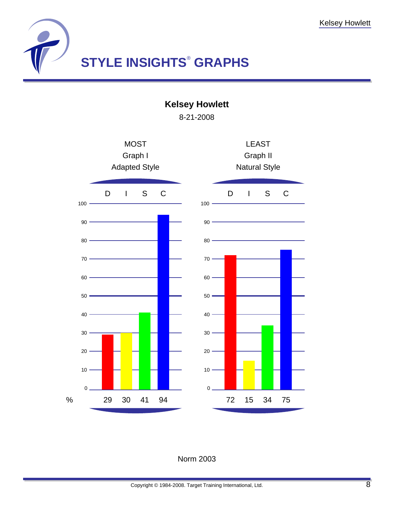

**Kelsey Howlett**

8-21-2008



## Norm 2003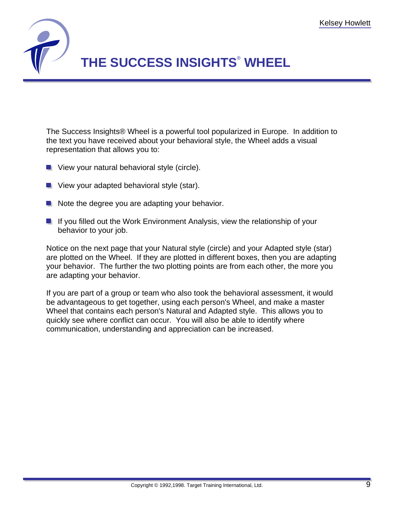

The Success Insights® Wheel is a powerful tool popularized in Europe. In addition to the text you have received about your behavioral style, the Wheel adds a visual representation that allows you to:

- **U** View your natural behavioral style (circle).
- **U** View your adapted behavioral style (star).
- $\blacksquare$  Note the degree you are adapting your behavior.
- **If you filled out the Work Environment Analysis, view the relationship of your** behavior to your job.

Notice on the next page that your Natural style (circle) and your Adapted style (star) are plotted on the Wheel. If they are plotted in different boxes, then you are adapting your behavior. The further the two plotting points are from each other, the more you are adapting your behavior.

If you are part of a group or team who also took the behavioral assessment, it would be advantageous to get together, using each person's Wheel, and make a master Wheel that contains each person's Natural and Adapted style. This allows you to quickly see where conflict can occur. You will also be able to identify where communication, understanding and appreciation can be increased.